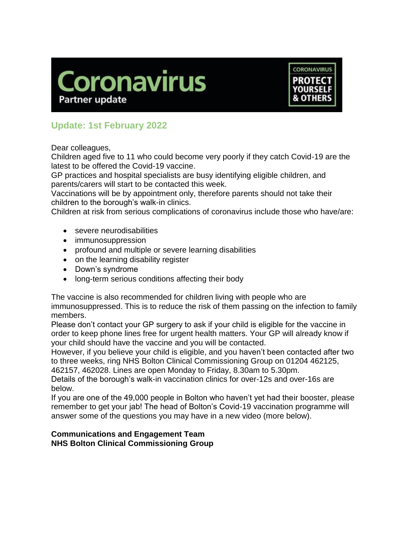



# **Update: 1st February 2022**

Dear colleagues,

Children aged five to 11 who could become very poorly if they catch Covid-19 are the latest to be offered the Covid-19 vaccine.

GP practices and hospital specialists are busy identifying eligible children, and parents/carers will start to be contacted this week.

Vaccinations will be by appointment only, therefore parents should not take their children to the borough's walk-in clinics.

Children at risk from serious complications of coronavirus include those who have/are:

- severe neurodisabilities
- immunosuppression
- profound and multiple or severe learning disabilities
- on the learning disability register
- Down's syndrome
- long-term serious conditions affecting their body

The vaccine is also recommended for children living with people who are immunosuppressed. This is to reduce the risk of them passing on the infection to family members.

Please don't contact your GP surgery to ask if your child is eligible for the vaccine in order to keep phone lines free for urgent health matters. Your GP will already know if your child should have the vaccine and you will be contacted.

However, if you believe your child is eligible, and you haven't been contacted after two to three weeks, ring NHS Bolton Clinical Commissioning Group on 01204 462125, 462157, 462028. Lines are open Monday to Friday, 8.30am to 5.30pm.

Details of the borough's walk-in vaccination clinics for over-12s and over-16s are below.

If you are one of the 49,000 people in Bolton who haven't yet had their booster, please remember to get your jab! The head of Bolton's Covid-19 vaccination programme will answer some of the questions you may have in a new video (more below).

#### **Communications and Engagement Team NHS Bolton Clinical Commissioning Group**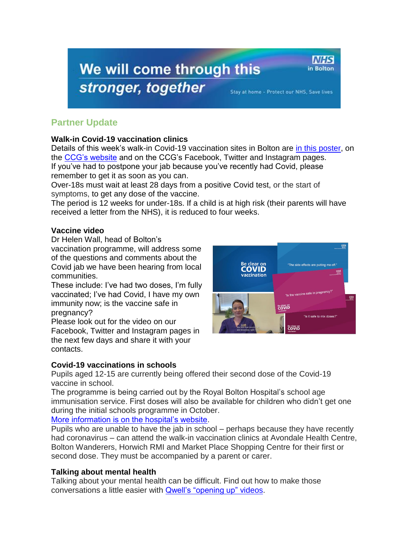# We will come through this stronger, together

Stay at home - Protect our NHS, Save lives

**NHS** 

in Bolton

# **Partner Update**

## **Walk-in Covid-19 vaccination clinics**

Details of this week's walk-in Covid-19 vaccination sites in Bolton are [in this poster,](https://www.boltonccg.nhs.uk/media/7794/vaccine_site_list_fri28-sun6_feb.pdf) on the [CCG's website](https://www.boltonccg.nhs.uk/patient-zone/coronavirus) and on the CCG's Facebook, Twitter and Instagram pages. If you've had to postpone your jab because you've recently had Covid, please remember to get it as soon as you can.

Over-18s must wait at least 28 days from a positive Covid test, or the start of symptoms, to get any dose of the vaccine.

The period is 12 weeks for under-18s. If a child is at high risk (their parents will have received a letter from the NHS), it is reduced to four weeks.

## **Vaccine video**

Dr Helen Wall, head of Bolton's

vaccination programme, will address some of the questions and comments about the Covid jab we have been hearing from local communities.

These include: I've had two doses, I'm fully vaccinated; I've had Covid, I have my own immunity now; is the vaccine safe in pregnancy?

Please look out for the video on our Facebook, Twitter and Instagram pages in the next few days and share it with your contacts.

# **Covid-19 vaccinations in schools**

Be clear on Be clear on<br>COVID

Pupils aged 12-15 are currently being offered their second dose of the Covid-19 vaccine in school.

The programme is being carried out by the Royal Bolton Hospital's school age immunisation service. First doses will also be available for children who didn't get one during the initial schools programme in October.

#### [More information is on the hospital's website.](https://www.boltonft.nhs.uk/2022/01/covid-19-vaccination-second-doses-being-delivered-to-12-to-15-year-olds-in-schools/)

Pupils who are unable to have the jab in school – perhaps because they have recently had coronavirus – can attend the walk-in vaccination clinics at Avondale Health Centre, Bolton Wanderers, Horwich RMI and Market Place Shopping Centre for their first or second dose. They must be accompanied by a parent or carer.

# **Talking about mental health**

Talking about your mental health can be difficult. Find out how to make those conversations a little easier with [Qwell's "opening up" videos.](https://bit.ly/3cIrc22)